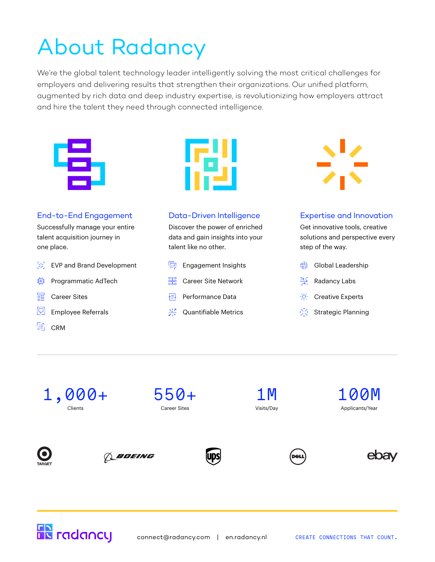# About Radancy

We're the global talent technology leader intelligently solving the most critical challenges for employers and delivering results that strengthen their organizations. Our unified platform, augmented by rich data and deep industry expertise, is revolutionizing how employers attract and hire the talent they need through connected intelligence.





### End-to-End Engagement

Successfully manage your entire talent acquisition journey in one place.

- 忿 EVP and Brand Development
- 蛬 Programmatic AdTech
- Career Sites 疐
- 同 Employee Referrals
- 닭. CRM

#### Data-Driven Intelligence

Discover the power of enriched data and gain insights into your talent like no other.

- **Engagement Insights**
- **BRE** Career Site Network
- **Performance Data**
- Quantifiable Metrics



#### Expertise and Innovation

Get innovative tools, creative solutions and perspective every step of the way.

- 謳 Global Leadership
- 芎 Radancy Labs
- 용도 Creative Experts
- $\sqrt{\sqrt{2}}$  Strategic Planning